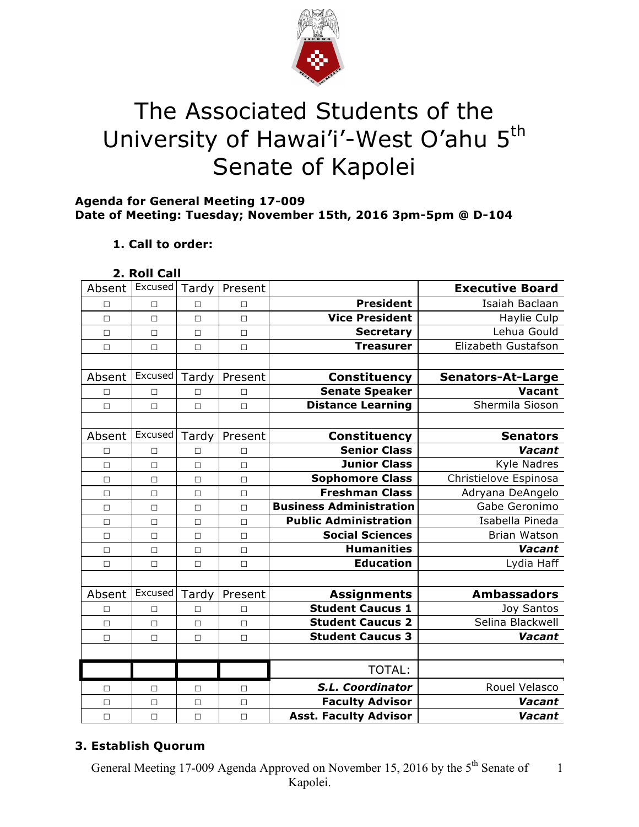

# The Associated Students of the University of Hawai'i'-West O'ahu 5<sup>th</sup> Senate of Kapolei

#### **Agenda for General Meeting 17-009 Date of Meeting: Tuesday; November 15th, 2016 3pm-5pm @ D-104**

## **1. Call to order:**

| 2. Roll Call |  |
|--------------|--|
|              |  |

|                                          | Tardy<br>Present | Excused | Absent |
|------------------------------------------|------------------|---------|--------|
| <b>President</b><br>$\Box$               | П                | $\Box$  | П      |
| <b>Vice President</b><br>$\Box$          | $\Box$           | $\Box$  | $\Box$ |
| <b>Secretary</b><br>$\Box$               | $\Box$           | $\Box$  | $\Box$ |
| <b>Treasurer</b><br>$\Box$               | $\Box$           | $\Box$  | $\Box$ |
|                                          |                  |         |        |
| <b>Constituency</b>                      | Tardy<br>Present | Excused | Absent |
| <b>Senate Speaker</b><br>$\Box$          | □                | $\Box$  | □      |
| <b>Distance Learning</b><br>$\Box$       | $\Box$           | $\Box$  | $\Box$ |
|                                          |                  |         |        |
| Constituency                             | Tardy<br>Present | Excused | Absent |
| <b>Senior Class</b><br>П                 | П                | $\Box$  | □      |
| <b>Junior Class</b><br>$\Box$            | $\Box$           | $\Box$  | $\Box$ |
| <b>Sophomore Class</b><br>$\Box$         | $\Box$           | $\Box$  | $\Box$ |
| <b>Freshman Class</b><br>$\Box$          | $\Box$           | $\Box$  | $\Box$ |
| <b>Business Administration</b><br>$\Box$ | $\Box$           | $\Box$  | $\Box$ |
| <b>Public Administration</b><br>$\Box$   | $\Box$           | $\Box$  | $\Box$ |
| <b>Social Sciences</b><br>$\Box$         | $\Box$           | $\Box$  | $\Box$ |
| <b>Humanities</b><br>$\Box$              | $\Box$           | $\Box$  | $\Box$ |
| <b>Education</b><br>$\Box$               | П                | $\Box$  | $\Box$ |
|                                          |                  |         |        |
| <b>Assignments</b>                       | Tardy<br>Present | Excused | Absent |
| <b>Student Caucus 1</b><br>$\Box$        | П                | $\Box$  | $\Box$ |
| <b>Student Caucus 2</b><br>$\Box$        | $\Box$           | $\Box$  | $\Box$ |
| <b>Student Caucus 3</b><br>$\Box$        | $\Box$           | $\Box$  | $\Box$ |
|                                          |                  |         |        |
| <b>TOTAL:</b>                            |                  |         |        |
| S.L. Coordinator<br>$\Box$               | □                | □       | □      |
| <b>Faculty Advisor</b><br>$\Box$         | $\Box$           | $\Box$  | $\Box$ |
| <b>Asst. Faculty Advisor</b><br>$\Box$   | $\Box$           | $\Box$  | $\Box$ |

## **3. Establish Quorum**

General Meeting 17-009 Agenda Approved on November 15, 2016 by the 5<sup>th</sup> Senate of Kapolei. 1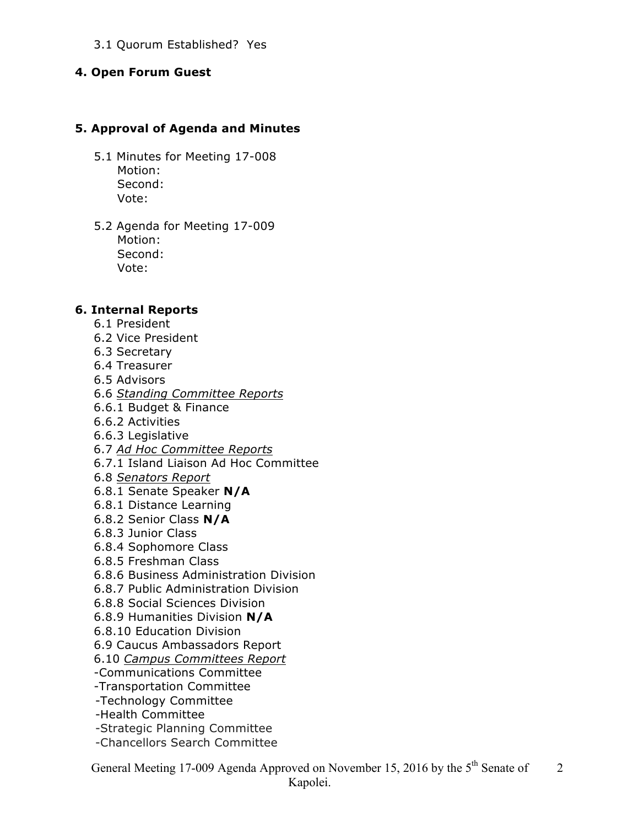#### 3.1 Quorum Established? Yes

#### **4. Open Forum Guest**

#### **5. Approval of Agenda and Minutes**

- 5.1 Minutes for Meeting 17-008 Motion: Second: Vote:
- 5.2 Agenda for Meeting 17-009 Motion: Second: Vote:

#### **6. Internal Reports**

- 6.1 President
- 6.2 Vice President
- 6.3 Secretary
- 6.4 Treasurer
- 6.5 Advisors
- 6.6 *Standing Committee Reports*
- 6.6.1 Budget & Finance
- 6.6.2 Activities
- 6.6.3 Legislative
- 6.7 *Ad Hoc Committee Reports*
- 6.7.1 Island Liaison Ad Hoc Committee
- 6.8 *Senators Report*
- 6.8.1 Senate Speaker **N/A**
- 6.8.1 Distance Learning
- 6.8.2 Senior Class **N/A**
- 6.8.3 Junior Class
- 6.8.4 Sophomore Class
- 6.8.5 Freshman Class
- 6.8.6 Business Administration Division
- 6.8.7 Public Administration Division
- 6.8.8 Social Sciences Division
- 6.8.9 Humanities Division **N/A**
- 6.8.10 Education Division
- 6.9 Caucus Ambassadors Report
- 6.10 *Campus Committees Report*
- -Communications Committee
- -Transportation Committee
- -Technology Committee
- -Health Committee
- -Strategic Planning Committee
- -Chancellors Search Committee